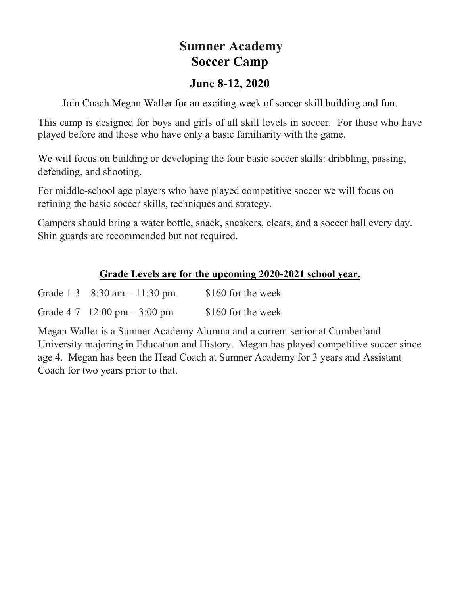## **Sumner Academy Soccer Camp**

## **June 8-12, 2020**

Join Coach Megan Waller for an exciting week of soccer skill building and fun.

This camp is designed for boys and girls of all skill levels in soccer. For those who have played before and those who have only a basic familiarity with the game.

We will focus on building or developing the four basic soccer skills: dribbling, passing, defending, and shooting.

For middle-school age players who have played competitive soccer we will focus on refining the basic soccer skills, techniques and strategy.

Campers should bring a water bottle, snack, sneakers, cleats, and a soccer ball every day. Shin guards are recommended but not required.

## **Grade Levels are for the upcoming 2020-2021 school year.**

| Grade 1-3 $8:30$ am $-11:30$ pm | \$160 for the week |
|---------------------------------|--------------------|
| Grade $4-7$ 12:00 pm $-3:00$ pm | \$160 for the week |

Megan Waller is a Sumner Academy Alumna and a current senior at Cumberland University majoring in Education and History. Megan has played competitive soccer since age 4. Megan has been the Head Coach at Sumner Academy for 3 years and Assistant Coach for two years prior to that.